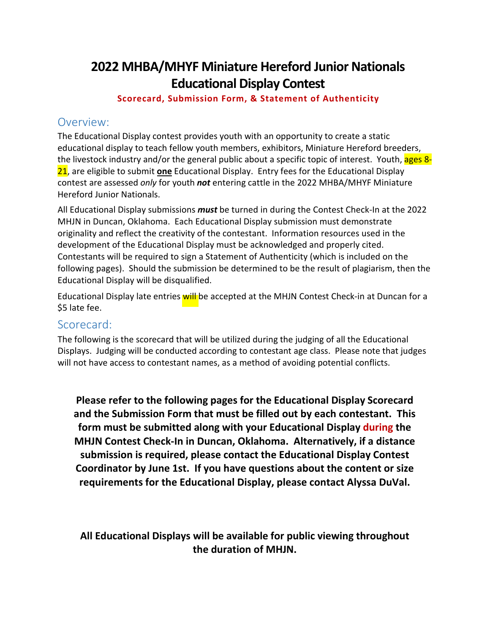## **2022 MHBA/MHYF Miniature Hereford Junior Nationals Educational Display Contest**

**Scorecard, Submission Form, & Statement of Authenticity** 

#### Overview:

The Educational Display contest provides youth with an opportunity to create a static educational display to teach fellow youth members, exhibitors, Miniature Hereford breeders, the livestock industry and/or the general public about a specific topic of interest. Youth, ages 8-21, are eligible to submit **one** Educational Display. Entry fees for the Educational Display contest are assessed *only* for youth *not* entering cattle in the 2022 MHBA/MHYF Miniature Hereford Junior Nationals.

All Educational Display submissions *must* be turned in during the Contest Check-In at the 2022 MHJN in Duncan, Oklahoma. Each Educational Display submission must demonstrate originality and reflect the creativity of the contestant. Information resources used in the development of the Educational Display must be acknowledged and properly cited. Contestants will be required to sign a Statement of Authenticity (which is included on the following pages). Should the submission be determined to be the result of plagiarism, then the Educational Display will be disqualified.

Educational Display late entries will be accepted at the MHJN Contest Check-in at Duncan for a \$5 late fee.

#### Scorecard:

The following is the scorecard that will be utilized during the judging of all the Educational Displays. Judging will be conducted according to contestant age class. Please note that judges will not have access to contestant names, as a method of avoiding potential conflicts.

**Please refer to the following pages for the Educational Display Scorecard and the Submission Form that must be filled out by each contestant. This form must be submitted along with your Educational Display during the MHJN Contest Check-In in Duncan, Oklahoma. Alternatively, if a distance submission is required, please contact the Educational Display Contest Coordinator by June 1st. If yo[u have questions about the co](mailto:rockindlo.ranch@gmail.com)ntent or size requirements for the Educational Display, please contact Alyssa DuVal.** 

**All Educational Displays will be available for public viewing throughout the duration of MHJN.**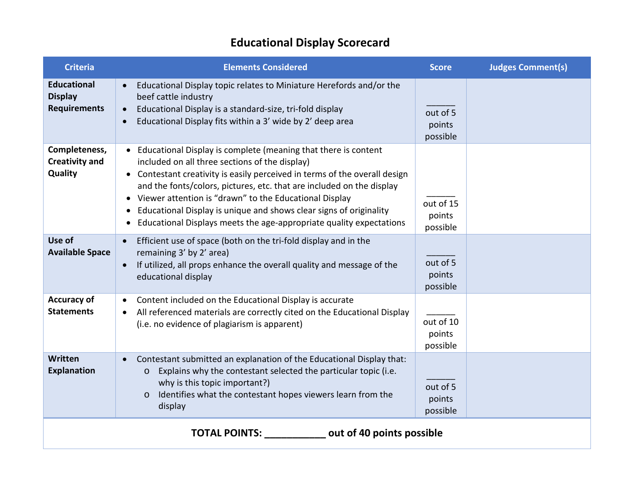# **Educational Display Scorecard**

| <b>Criteria</b>                                             | <b>Elements Considered</b>                                                                                                                                                                                                                                                                                                                                                                                                                                                                                                       | <b>Score</b>                    | <b>Judges Comment(s)</b> |  |
|-------------------------------------------------------------|----------------------------------------------------------------------------------------------------------------------------------------------------------------------------------------------------------------------------------------------------------------------------------------------------------------------------------------------------------------------------------------------------------------------------------------------------------------------------------------------------------------------------------|---------------------------------|--------------------------|--|
| <b>Educational</b><br><b>Display</b><br><b>Requirements</b> | Educational Display topic relates to Miniature Herefords and/or the<br>beef cattle industry<br>Educational Display is a standard-size, tri-fold display<br>Educational Display fits within a 3' wide by 2' deep area                                                                                                                                                                                                                                                                                                             | out of 5<br>points<br>possible  |                          |  |
| Completeness,<br><b>Creativity and</b><br>Quality           | Educational Display is complete (meaning that there is content<br>included on all three sections of the display)<br>Contestant creativity is easily perceived in terms of the overall design<br>$\bullet$<br>and the fonts/colors, pictures, etc. that are included on the display<br>Viewer attention is "drawn" to the Educational Display<br>$\bullet$<br>Educational Display is unique and shows clear signs of originality<br>$\bullet$<br>Educational Displays meets the age-appropriate quality expectations<br>$\bullet$ | out of 15<br>points<br>possible |                          |  |
| Use of<br><b>Available Space</b>                            | Efficient use of space (both on the tri-fold display and in the<br>remaining 3' by 2' area)<br>If utilized, all props enhance the overall quality and message of the<br>educational display                                                                                                                                                                                                                                                                                                                                      | out of 5<br>points<br>possible  |                          |  |
| <b>Accuracy of</b><br><b>Statements</b>                     | Content included on the Educational Display is accurate<br>$\bullet$<br>All referenced materials are correctly cited on the Educational Display<br>(i.e. no evidence of plagiarism is apparent)                                                                                                                                                                                                                                                                                                                                  | out of 10<br>points<br>possible |                          |  |
| Written<br><b>Explanation</b>                               | Contestant submitted an explanation of the Educational Display that:<br>Explains why the contestant selected the particular topic (i.e.<br>$\circ$<br>why is this topic important?)<br>Identifies what the contestant hopes viewers learn from the<br>$\circ$<br>display                                                                                                                                                                                                                                                         | out of 5<br>points<br>possible  |                          |  |
| <b>TOTAL POINTS:</b> out of 40 points possible              |                                                                                                                                                                                                                                                                                                                                                                                                                                                                                                                                  |                                 |                          |  |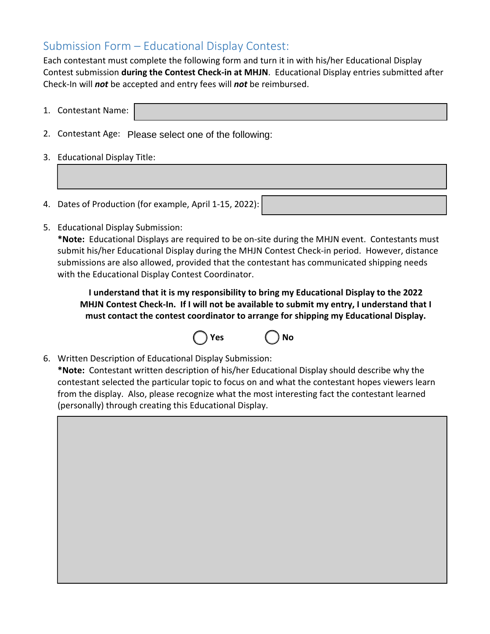## Submission Form – Educational Display Contest:

Each contestant must complete the following form and turn it in with his/her Educational Display Contest submission **during the Contest Check-in at MHJN**. Educational Display entries submitted after Check-In will *not* be accepted and entry fees will *not* be reimbursed.

| 1. Contestant Name:                                    |  |
|--------------------------------------------------------|--|
| 2. Contestant Age: Please select one of the following: |  |
| 3. Educational Display Title:                          |  |

- 4. Dates of Production (for example, April 1-15, 2022):
- 5. Educational Display Submission:

**\*Note:** Educational Displays are required to be on-site during the MHJN event. Contestants must submit his/her Educational Display during the MHJN Contest Check-in period. However, distance submissions are also allowed, provided that the contestant has communicated shipping needs with the Educational Display Contest Coordinator.

**I understand that it is my responsibility to bring my Educational Display to the 2022 MHJN Contest Check-In. If I will not be available to submit my entry, I understand that I must contact the contest coordinator to arrange for shipping my Educational Display.** 



6. Written Description of Educational Display Submission:

**\*Note:** Contestant written description of his/her Educational Display should describe why the contestant selected the particular topic to focus on and what the contestant hopes viewers learn from the display. Also, please recognize what the most interesting fact the contestant learned (personally) through creating this Educational Display.